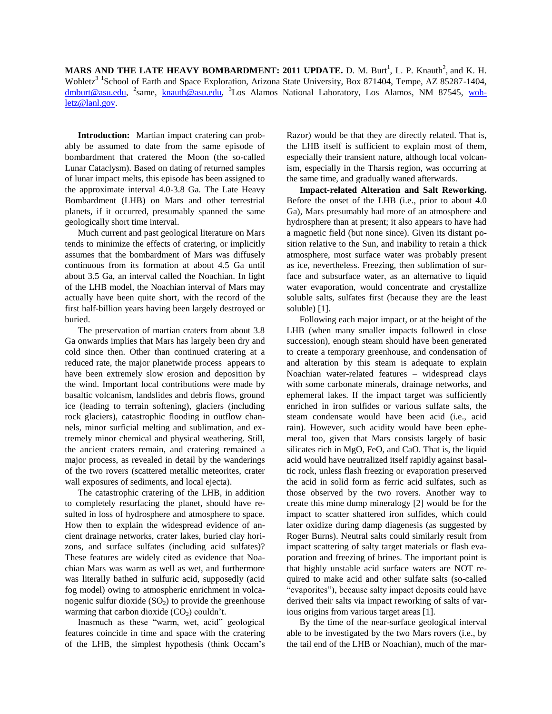**MARS AND THE LATE HEAVY BOMBARDMENT: 2011 UPDATE.** D. M. Burt<sup>1</sup>, L. P. Knauth<sup>2</sup>, and K. H. Wohletz<sup>3 1</sup>School of Earth and Space Exploration, Arizona State University, Box 871404, Tempe, AZ 85287-1404, [dmburt@asu.edu,](mailto:dmburt@asu.edu) <sup>2</sup>same, [knauth@asu.edu,](mailto:knauth@asu.edu) <sup>3</sup>Los Alamos National Laboratory, Los Alamos, NM 87545, [woh](mailto:wohletz@lanl.gov)[letz@lanl.gov.](mailto:wohletz@lanl.gov)

**Introduction:** Martian impact cratering can probably be assumed to date from the same episode of bombardment that cratered the Moon (the so-called Lunar Cataclysm). Based on dating of returned samples of lunar impact melts, this episode has been assigned to the approximate interval 4.0-3.8 Ga. The Late Heavy Bombardment (LHB) on Mars and other terrestrial planets, if it occurred, presumably spanned the same geologically short time interval.

Much current and past geological literature on Mars tends to minimize the effects of cratering, or implicitly assumes that the bombardment of Mars was diffusely continuous from its formation at about 4.5 Ga until about 3.5 Ga, an interval called the Noachian. In light of the LHB model, the Noachian interval of Mars may actually have been quite short, with the record of the first half-billion years having been largely destroyed or buried.

The preservation of martian craters from about 3.8 Ga onwards implies that Mars has largely been dry and cold since then. Other than continued cratering at a reduced rate, the major planetwide process appears to have been extremely slow erosion and deposition by the wind. Important local contributions were made by basaltic volcanism, landslides and debris flows, ground ice (leading to terrain softening), glaciers (including rock glaciers), catastrophic flooding in outflow channels, minor surficial melting and sublimation, and extremely minor chemical and physical weathering. Still, the ancient craters remain, and cratering remained a major process, as revealed in detail by the wanderings of the two rovers (scattered metallic meteorites, crater wall exposures of sediments, and local ejecta).

The catastrophic cratering of the LHB, in addition to completely resurfacing the planet, should have resulted in loss of hydrosphere and atmosphere to space. How then to explain the widespread evidence of ancient drainage networks, crater lakes, buried clay horizons, and surface sulfates (including acid sulfates)? These features are widely cited as evidence that Noachian Mars was warm as well as wet, and furthermore was literally bathed in sulfuric acid, supposedly (acid fog model) owing to atmospheric enrichment in volcanogenic sulfur dioxide  $(SO<sub>2</sub>)$  to provide the greenhouse warming that carbon dioxide  $(CO<sub>2</sub>)$  couldn't.

Inasmuch as these "warm, wet, acid" geological features coincide in time and space with the cratering of the LHB, the simplest hypothesis (think Occam's Razor) would be that they are directly related. That is, the LHB itself is sufficient to explain most of them, especially their transient nature, although local volcanism, especially in the Tharsis region, was occurring at the same time, and gradually waned afterwards.

**Impact-related Alteration and Salt Reworking.** Before the onset of the LHB (i.e., prior to about 4.0 Ga), Mars presumably had more of an atmosphere and hydrosphere than at present; it also appears to have had a magnetic field (but none since). Given its distant position relative to the Sun, and inability to retain a thick atmosphere, most surface water was probably present as ice, nevertheless. Freezing, then sublimation of surface and subsurface water, as an alternative to liquid water evaporation, would concentrate and crystallize soluble salts, sulfates first (because they are the least soluble) [1].

Following each major impact, or at the height of the LHB (when many smaller impacts followed in close succession), enough steam should have been generated to create a temporary greenhouse, and condensation of and alteration by this steam is adequate to explain Noachian water-related features – widespread clays with some carbonate minerals, drainage networks, and ephemeral lakes. If the impact target was sufficiently enriched in iron sulfides or various sulfate salts, the steam condensate would have been acid (i.e., acid rain). However, such acidity would have been ephemeral too, given that Mars consists largely of basic silicates rich in MgO, FeO, and CaO. That is, the liquid acid would have neutralized itself rapidly against basaltic rock, unless flash freezing or evaporation preserved the acid in solid form as ferric acid sulfates, such as those observed by the two rovers. Another way to create this mine dump mineralogy [2] would be for the impact to scatter shattered iron sulfides, which could later oxidize during damp diagenesis (as suggested by Roger Burns). Neutral salts could similarly result from impact scattering of salty target materials or flash evaporation and freezing of brines. The important point is that highly unstable acid surface waters are NOT required to make acid and other sulfate salts (so-called "evaporites"), because salty impact deposits could have derived their salts via impact reworking of salts of various origins from various target areas [1].

By the time of the near-surface geological interval able to be investigated by the two Mars rovers (i.e., by the tail end of the LHB or Noachian), much of the mar